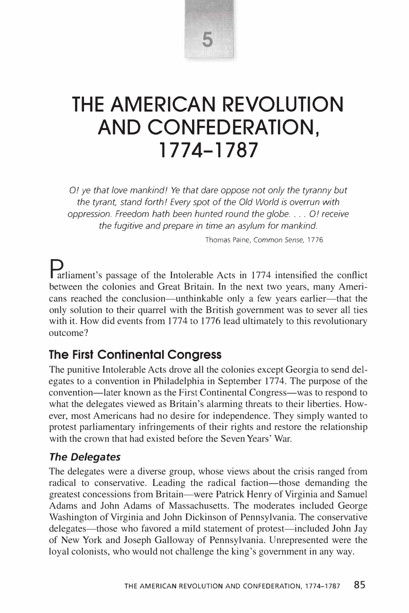

# **THE AMERICAN REVOLUTION AND CONFEDERATION, 1774-1787**

0 *! ye that love mankind! Ye that dare oppose not only the tyranny but the tyrant, stand forth! Every spot of the Old World is overrun with oppression. Freedom hath been hunted round the globe .* ... *Of receive the fugitive and prepare in time an asylum for mankind.* 

Thomas Paine, *Common Sense,* 1776

Tarliament's passage of the Intolerable Acts in 1774 intensified the conflict between the colonies and Great Britain. In the next two years, many Americans reached the conclusion—unthinkable only a few years earlier—that the only solution to their quarrel with the British government was to sever all ties with it. How did events from 1774 to 1776 lead ultimately to this revolutionary outcome?

# **The First Continental Congress**

The punitive Intolerable Acts drove all the colonies except Georgia to send delegates to a convention in Philadelphia in September 1774. The purpose of the convention-later known as the First Continental Congress-was to respond to what the delegates viewed as Britain's alarming threats to their liberties. However, most Americans had no desire for independence. They simply wanted to protest parliamentary infringements of their rights and restore the relationship with the crown that had existed before the Seven Years' War.

# *The Delegates*

The delegates were a diverse group, whose views about the crisis ranged from radical to conservative. Leading the radical faction—those demanding the greatest concessions from Britain-were Patrick Henry of Virginia and Samuel Adams and John Adams of Massachusetts. The moderates included George Washington of Virginia and John Dickinson of Pennsylvania. The conservative delegates—those who favored a mild statement of protest—included John Jay of New York and Joseph Galloway of Pennsylvania. Unrepresented were the loyal colonists, who would not challenge the king's government in any way.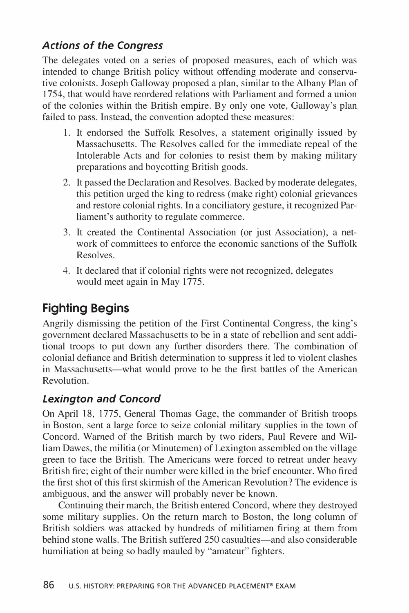# *Actions of the Congress*

The delegates voted on a series of proposed measures, each of which was intended to change British policy without offending moderate and conservative colonists. Joseph Galloway proposed a plan, similar to the Albany Plan of 1754, that would have reordered relations with Parliament and formed a union of the colonies within the British empire. By only one vote, Galloway's plan failed to pass. Instead, the convention adopted these measures:

- 1. It endorsed the Suffolk Resolves, a statement originally issued by Massachusetts. The Resolves called for the immediate repeal of the Intolerable Acts and for colonies to resist them by making military preparations and boycotting British goods.
- 2. It passed the Declaration and Resolves. Backed by moderate delegates, this petition urged the king to redress (make right) colonial grievances and restore colonial rights. In a conciliatory gesture, it recognized Parliament's authority to regulate commerce.
- 3. It created the Continental Association (or just Association), a network of committees to enforce the economic sanctions of the Suffolk Resolves.
- 4. It declared that if colonial rights were not recognized, delegates would meet again in May 1775.

# **Fighting Begins**

Angrily dismissing the petition of the First Continental Congress, the king's government declared Massachusetts to be in a state of rebellion and sent additional troops to put down any further disorders there. The combination of colonial defiance and British determination to suppress it led to violent clashes in Massachusetts-what would prove to be the first battles of the American Revolution.

# *Lexington and Concord*

On April 18, 1775, General Thomas Gage, the commander of British troops in Boston, sent a large force to seize colonial military supplies in the town of Concord. Warned of the British march by two riders, Paul Revere and William Dawes, the militia (or Minutemen) of Lexington assembled on the village green to face the British. The Americans were forced to retreat under heavy British fire; eight of their number were killed in the brief encounter. Who fired the first shot of this first skirmish of the American Revolution? The evidence is ambiguous, and the answer will probably never be known.

Continuing their march, the British entered Concord, where they destroyed some military supplies. On the return march to Boston, the long column of British soldiers was attacked by hundreds of militiamen firing at them from behind stone walls. The British suffered 250 casualties—and also considerable humiliation at being so badly mauled by "amateur" fighters.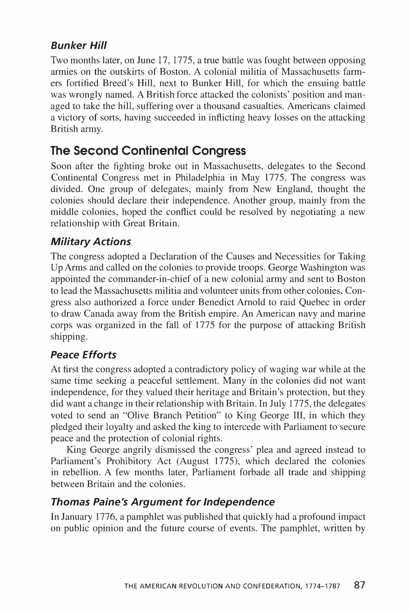### *Bunker Hill*

Two months later, on June 17, 1775, a true battle was fought between opposing armies on the outskirts of Boston. A colonial militia of Massachusetts farmers fortified Breed's Hill, next to Bunker Hill, for which the ensuing battle was wrongly named. A British force attacked the colonists' position and managed to take the hill, suffering over a thousand casualties. Americans claimed a victory of sorts, having succeeded in inflicting heavy losses on the attacking British army.

# **The Second Continental Congress**

Soon after the fighting broke out in Massachusetts, delegates to the Second Continental Congress met in Philadelphia in May 1775. The congress was divided. One group of delegates, mainly from New England, thought the colonies should declare their independence. Another group, mainly from the middle colonies, hoped the conflict could be resolved by negotiating a new relationship with Great Britain.

# *Military Actions*

The congress adopted a Declaration of the Causes and Necessities for Taking Up Arms and called on the colonies to provide troops. George Washington was appointed the commander-in-chief of a new colonial army and sent to Boston to lead the Massachusetts militia and volunteer units from other colonies. Congress also authorized a force under Benedict Arnold to raid Quebec in order to draw Canada away from the British empire. An American navy and marine corps was organized in the fall of 1775 for the purpose of attacking British shipping.

# *Peace Efforts*

At first the congress adopted a contradictory policy of waging war while at the same time seeking a peaceful settlement. Many in the colonies did not want independence, for they valued their heritage and Britain's protection, but they did want a change in their relationship with Britain. In July 1775, the delegates voted to send an "Olive Branch Petition" to King George III, in which they pledged their loyalty and asked the king to intercede with Parliament to secure peace and the protection of colonial rights.

King George angrily dismissed the congress' plea and agreed instead to Parliament's Prohibitory Act (August 1775), which declared the colonies in rebellion. A few months later, Parliament forbade all trade and shipping between Britain and the colonies.

# *Thomas Paine's Argument for Independence*

In January 1776, a pamphlet was published that quickly had a profound impact on public opinion and the future course of events. The pamphlet, written by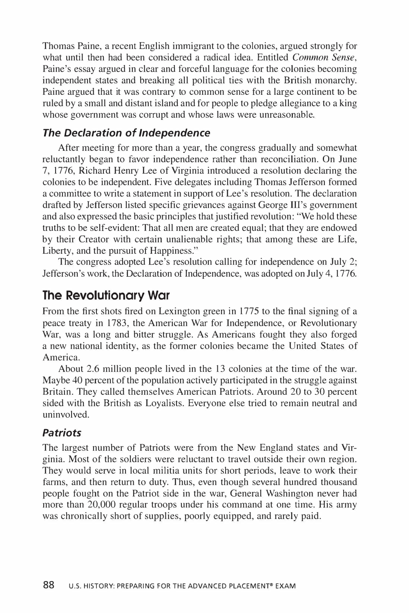Thomas Paine, a recent English immigrant to the colonies, argued strongly for what until then had been considered a radical idea. Entitled *Common Sense,*  Paine's essay argued in clear and forceful language for the colonies becoming independent states and breaking all political ties with the British monarchy. Paine argued that it was contrary to common sense for a large continent to be ruled by a small and distant island and for people to pledge allegiance to a king whose government was corrupt and whose laws were unreasonable.

#### *The Declaration of Independence*

After meeting for more than a year, the congress gradually and somewhat reluctantly began to favor independence rather than reconciliation. On June 7, 1776, Richard Henry Lee of Virginia introduced a resolution declaring the colonies to be independent. Five delegates including Thomas Jefferson formed a committee to write a statement in support of Lee's resolution. The declaration drafted by Jefferson listed specific grievances against George Ill's government and also expressed the basic principles that justified revolution: "We hold these truths to be self-evident: That all men are created equal; that they are endowed by their Creator with certain unalienable rights; that among these are Life, Liberty, and the pursuit of Happiness."

The congress adopted Lee's resolution calling for independence on July 2; Jefferson's work, the Declaration of Independence, was adopted on July 4, 1776.

# **The Revolutionary War**

From the first shots fired on Lexington green in 1775 to the final signing of a peace treaty in 1783, the American War for Independence, or Revolutionary War, was a long and bitter struggle. As Americans fought they also forged a new national identity, as the former colonies became the United States of America.

About 2.6 million people lived in the 13 colonies at the time of the war. Maybe 40 percent of the population actively participated in the struggle against Britain. They called themselves American Patriots. Around 20 to 30 percent sided with the British as Loyalists. Everyone else tried to remain neutral and uninvolved.

### *Patriots*

The largest number of Patriots were from the New England states and Virginia. Most of the soldiers were reluctant to travel outside their own region. They would serve in local militia units for short periods, leave to work their farms, and then return to duty. Thus, even though several hundred thousand people fought on the Patriot side in the war, General Washington never had more than 20,000 regular troops under his command at one time. His army was chronically short of supplies, poorly equipped, and rarely paid.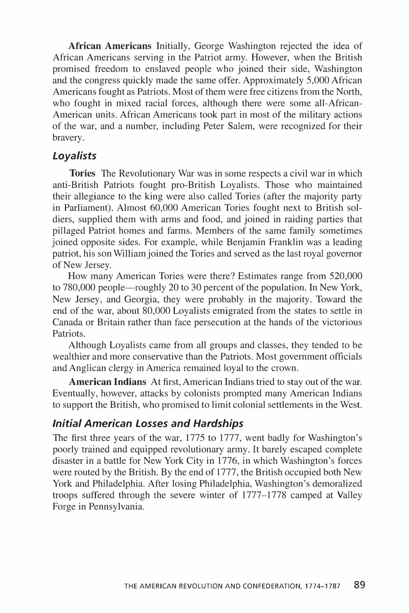**African Americans** Initially, George Washington rejected the idea of African Americans serving in the Patriot army. However, when the British promised freedom to enslaved people who joined their side, Washington and the congress quickly made the same offer. Approximately 5,000 African Americans fought as Patriots. Most of them were free citizens from the North, who fought in mixed racial forces, although there were some all-African-American units. African Americans took part in most of the military actions of the war, and a number, including Peter Salem, were recognized for their bravery.

#### *loyalists*

**Tories** The Revolutionary War was in some respects a civil war in which anti-British Patriots fought pro-British Loyalists. Those who maintained their allegiance to the king were also called Tories (after the majority party in Parliament). Almost 60,000 American Tories fought next to British soldiers, supplied them with arms and food, and joined in raiding parties that pillaged Patriot homes and farms. Members of the same family sometimes joined opposite sides. For example, while Benjamin Franklin was a leading patriot, his son William joined the Tories and served as the last royal governor of New Jersey.

How many American Tories were there? Estimates range from 520,000 to 780,000 people—roughly 20 to 30 percent of the population. In New York, New Jersey, and Georgia, they were probably in the majority. Toward the end of the war, about 80,000 Loyalists emigrated from the states to settle in Canada or Britain rather than face persecution at the hands of the victorious Patriots.

Although Loyalists came from all groups and classes, they tended to be wealthier and more conservative than the Patriots. Most government officials and Anglican clergy in America remained loyal to the crown.

**American Indians** At first, American Indians tried to stay out of the war. Eventually, however, attacks by colonists prompted many American Indians to support the British, who promised to limit colonial settlements in the West.

#### *Initial American losses and Hardships*

The first three years of the war, 1775 to 1777, went badly for Washington's poorly trained and equipped revolutionary army. It barely escaped complete disaster in a battle for New York City in 1776, in which Washington's forces were routed by the British. By the end of 1777, the British occupied both New York and Philadelphia. After losing Philadelphia, Washington's demoralized troops suffered through the severe winter of 1777-1778 camped at Valley Forge in Pennsylvania.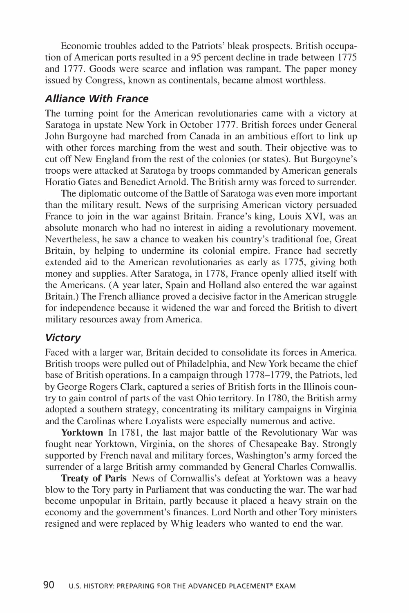Economic troubles added to the Patriots' bleak prospects. British occupation of American ports resulted in a 95 percent decline in trade between 1775 and 1777. Goods were scarce and inflation was rampant. The paper money issued by Congress, known as continentals, became almost worthless.

#### *Alliance With France*

The turning point for the American revolutionaries came with a victory at Saratoga in upstate New York in October 1777. British forces under General John Burgoyne had marched from Canada in an ambitious effort to link up with other forces marching from the west and south. Their objective was to cut off New England from the rest of the colonies (or states). But Burgoyne's troops were attacked at Saratoga by troops commanded by American generals Horatio Gates and Benedict Arnold. The British army was forced to surrender.

The diplomatic outcome of the Battle of Saratoga was even more important than the military result. News of the surprising American victory persuaded France to join in the war against Britain. France's king, Louis XVI, was an absolute monarch who had no interest in aiding a revolutionary movement. Nevertheless, he saw a chance to weaken his country's traditional foe, Great Britain, by helping to undermine its colonial empire. France had secretly extended aid to the American revolutionaries as early as 1775, giving both money and supplies. After Saratoga, in 1778, France openly allied itself with the Americans. (A year later, Spain and Holland also entered the war against Britain.) The French alliance proved a decisive factor in the American struggle for independence because it widened the war and forced the British to divert military resources away from America.

#### *Victory*

Faced with a larger war, Britain decided to consolidate its forces in America. British troops were pulled out of Philadelphia, and New York became the chief base of British operations. In a campaign through 1778-1779, the Patriots, led by George Rogers Clark, captured a series of British forts in the Illinois country to gain control of parts of the vast Ohio territory. In 1780, the British army adopted a southern strategy, concentrating its military campaigns in Virginia and the Carolinas where Loyalists were especially numerous and active.

**Yorktown** In 1781, the last major battle of the Revolutionary War was fought near Yorktown, Virginia, on the shores of Chesapeake Bay. Strongly supported by French naval and military forces, Washington's army forced the surrender of a large British army commanded by General Charles Cornwallis.

**Treaty of Paris** News of Cornwallis's defeat at Yorktown was a heavy blow to the Tory party in Parliament that was conducting the war. The war had become unpopular in Britain, partly because it placed a heavy strain on the economy and the government's finances. Lord North and other Tory ministers resigned and were replaced by Whig leaders who wanted to end the war.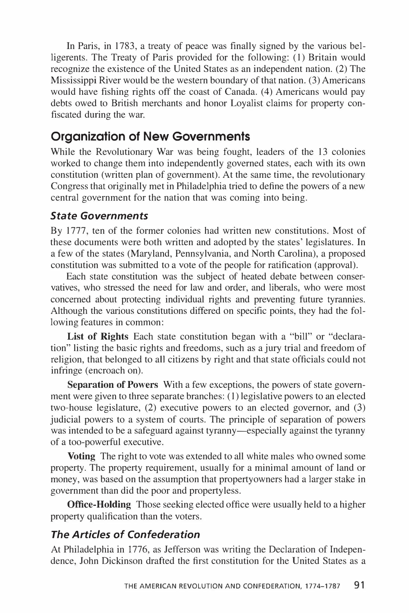In Paris, in 1783, a treaty of peace was finally signed by the various belligerents. The Treaty of Paris provided for the following: (1) Britain would recognize the existence of the United States as an independent nation. (2) The Mississippi River would be the western boundary of that nation. (3) Americans would have fishing rights off the coast of Canada. (4) Americans would pay debts owed to British merchants and honor Loyalist claims for property confiscated during the war.

# **Organization of New Governments**

While the Revolutionary War was being fought, leaders of the 13 colonies worked to change them into independently governed states, each with its own constitution (written plan of government). At the same time, the revolutionary Congress that originally met in Philadelphia tried to define the powers of a new central government for the nation that was coming into being.

### *State Governments*

By 1777, ten of the former colonies had written new constitutions. Most of these documents were both written and adopted by the states' legislatures. In a few of the states (Maryland, Pennsylvania, and North Carolina), a proposed constitution was submitted to a vote of the people for ratification (approval).

Each state constitution was the subject of heated debate between conservatives, who stressed the need for law and order, and liberals, who were most concerned about protecting individual rights and preventing future tyrannies. Although the various constitutions differed on specific points, they had the following features in common:

**List of Rights** Each state constitution began with a "bill" or "declaration" listing the basic rights and freedoms, such as a jury trial and freedom of religion, that belonged to all citizens by right and that state officials could not infringe (encroach on).

**Separation of Powers** With a few exceptions, the powers of state government were given to three separate branches: (1) legislative powers to an elected two-house legislature, (2) executive powers to an elected governor, and (3) judicial powers to a system of courts. The principle of separation of powers was intended to be a safeguard against tyranny—especially against the tyranny of a too-powerful executive.

**Voting** The right to vote was extended to all white males who owned some property. The property requirement, usually for a minimal amount of land or money, was based on the assumption that propertyowners had a larger stake in government than did the poor and propertyless.

**Office-Holding** Those seeking elected office were usually held to a higher property qualification than the voters.

# *The Articles of Confederation*

At Philadelphia in 1776, as Jefferson was writing the Declaration of Independence, John Dickinson drafted the first constitution for the United States as a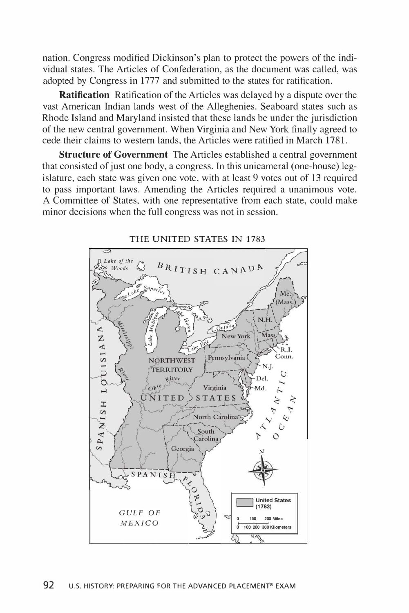nation. Congress modified Dickinson's plan to protect the powers of the individual states. The Articles of Confederation, as the document was called, was adopted by Congress in 1777 and submitted to the states for ratification.

**Ratification** Ratification of the Articles was delayed by a dispute over the vast American Indian lands west of the Alleghenies. Seaboard states such as Rhode Island and Maryland insisted that these lands be under the jurisdiction of the new central government. When Virginia and New York finally agreed to cede their claims to western lands, the Articles were ratified in March 1781.

**Structure of Government** The Articles established a central government that consisted of just one body, a congress. In this unicameral (one-house) legislature, each state was given one vote, with at least 9 votes out of 13 required to pass important laws. Amending the Articles required a unanimous vote. A Committee of States, with one representative from each state, could make minor decisions when the full congress was not in session.



THE UNITED STATES IN 1783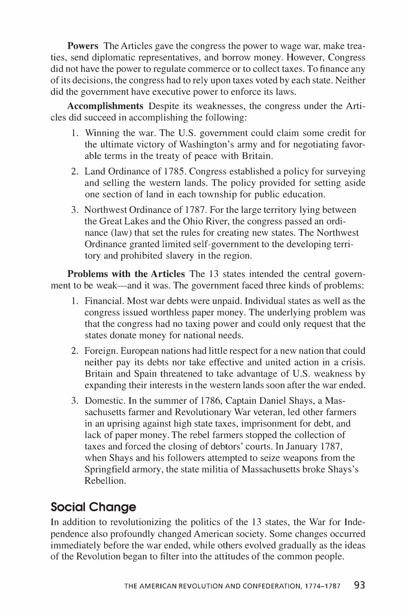**Powers** The Articles gave the congress the power to wage war, make treaties, send diplomatic representatives, and borrow money. However, Congress did not have the power to regulate commerce or to collect taxes. To finance any of its decisions, the congress had to rely upon taxes voted by each state. Neither did the government have executive power to enforce its laws.

**Accomplishments** Despite its weaknesses, the congress under the Articles did succeed in accomplishing the following:

- 1. Winning the war. The U.S. government could claim some credit for the ultimate victory of Washington's army and for negotiating favorable terms in the treaty of peace with Britain.
- 2. Land Ordinance of 1785. Congress established a policy for surveying and selling the western lands. The policy provided for setting aside one section of land in each township for public education.
- 3. Northwest Ordinance of 1787. For the large territory lying between the Great Lakes and the Ohio River, the congress passed an ordinance (law) that set the rules for creating new states. The Northwest Ordinance granted limited self-government to the developing territory and prohibited slavery in the region.

**Problems with the Articles** The 13 states intended the central government to be weak—and it was. The government faced three kinds of problems:

- 1. Financial. Most war debts were unpaid. Individual states as well as the congress issued worthless paper money. The underlying problem was that the congress had no taxing power and could only request that the states donate money for national needs.
- 2. Foreign. European nations had little respect for a new nation that could neither pay its debts nor take effective and united action in a crisis. Britain and Spain threatened to take advantage of U.S. weakness by expanding their interests in the western lands soon after the war ended.
- 3. Domestic. In the summer of 1786, Captain Daniel Shays, a Massachusetts farmer and Revolutionary War veteran, led other farmers in an uprising against high state taxes, imprisonment for debt, and lack of paper money. The rebel farmers stopped the collection of taxes and forced the closing of debtors' courts. In January 1787, when Shays and his followers attempted to seize weapons from the Springfield armory, the state militia of Massachusetts broke Shays's Rebellion.

# **Social Change**

In addition to revolutionizing the politics of the 13 states, the War for Independence also profoundly changed American society. Some changes occurred immediately before the war ended, while others evolved gradually as the ideas of the Revolution began to filter into the attitudes of the common people.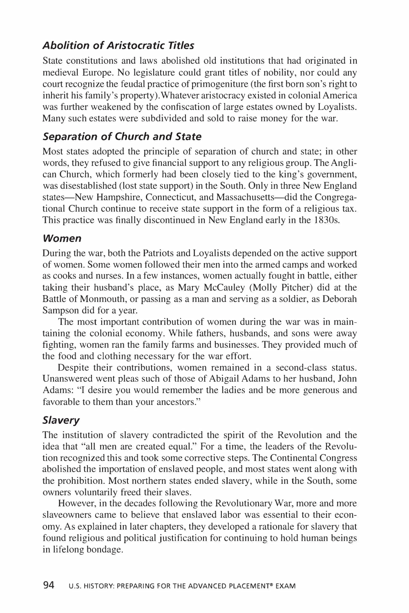# *Abolition of Aristocratic Titles*

State constitutions and laws abolished old institutions that had originated in medieval Europe. No legislature could grant titles of nobility, nor could any court recognize the feudal practice of primogeniture (the first born son's right to inherit his family's property).Whatever aristocracy existed in colonial America was further weakened by the confiscation of large estates owned by Loyalists. Many such estates were subdivided and sold to raise money for the war.

# *Separation of Church and State*

Most states adopted the principle of separation of church and state; in other words, they refused to give financial support to any religious group. The Anglican Church, which formerly had been closely tied to the king's government, was disestablished (lost state support) in the South. Only in three New England states—New Hampshire, Connecticut, and Massachusetts—did the Congregational Church continue to receive state support in the form of a religious tax. This practice was finally discontinued in New England early in the 1830s.

#### *Women*

During the war, both the Patriots and Loyalists depended on the active support of women. Some women followed their men into the armed camps and worked as cooks and nurses. In a few instances, women actually fought in battle, either taking their husband's place, as Mary McCauley (Molly Pitcher) did at the Battle of Monmouth, or passing as a man and serving as a soldier, as Deborah Sampson did for a year.

The most important contribution of women during the war was in maintaining the colonial economy. While fathers, husbands, and sons were away fighting, women ran the family farms and businesses. They provided much of the food and clothing necessary for the war effort.

Despite their contributions, women remained in a second-class status. Unanswered went pleas such of those of Abigail Adams to her husband, John Adams: "I desire you would remember the ladies and be more generous and favorable to them than your ancestors."

# *Slavery*

The institution of slavery contradicted the spirit of the Revolution and the idea that "all men are created equal." For a time, the leaders of the Revolution recognized this and took some corrective steps. The Continental Congress abolished the importation of enslaved people, and most states went along with the prohibition. Most northern states ended slavery, while in the South, some owners voluntarily freed their slaves.

However, in the decades following the Revolutionary War, more and more slaveowners came to believe that enslaved labor was essential to their economy. As explained in later chapters, they developed a rationale for slavery that found religious and political justification for continuing to hold human beings in lifelong bondage.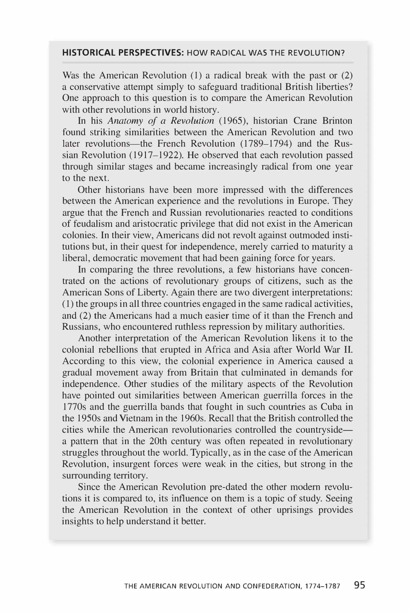#### **HISTORICAL PERSPECTIVES:** HOW RADICAL WAS THE REVOLUTION?

Was the American Revolution (1) a radical break with the past or (2) a conservative attempt simply to safeguard traditional British liberties? One approach to this question is to compare the American Revolution with other revolutions in world history.

In his *Anatomy of a Revolution* (1965), historian Crane Brinton found striking similarities between the American Revolution and two later revolutions—the French Revolution (1789–1794) and the Russian Revolution (1917-1922). He observed that each revolution passed through similar stages and became increasingly radical from one year to the next.

Other historians have been more impressed with the differences between the American experience and the revolutions in Europe. They argue that the French and Russian revolutionaries reacted to conditions of feudalism and aristocratic privilege that did not exist in the American colonies. In their view, Americans did not revolt against outmoded institutions but, in their quest for independence, merely carried to maturity a liberal, democratic movement that had been gaining force for years.

In comparing the three revolutions, a few historians have concentrated on the actions of revolutionary groups of citizens, such as the American Sons of Liberty. Again there are two divergent interpretations: (1) the groups in all three countries engaged in the same radical activities, and (2) the Americans had a much easier time of it than the French and Russians, who encountered ruthless repression by military authorities.

Another interpretation of the American Revolution likens it to the colonial rebellions that erupted in Africa and Asia after World War II. According to this view, the colonial experience in America caused a gradual movement away from Britain that culminated in demands for independence. Other studies of the military aspects of the Revolution have pointed out similarities between American guerrilla forces in the 1770s and the guerrilla bands that fought in such countries as Cuba in the 1950s and Vietnam in the 1960s. Recall that the British controlled the cities while the American revolutionaries controlled the countryside a pattern that in the 20th century was often repeated in revolutionary struggles throughout the world. Typically, as in the case of the American Revolution, insurgent forces were weak in the cities, but strong in the surrounding territory.

Since the American Revolution pre-dated the other modern revolutions it is compared to, its influence on them is a topic of study. Seeing the American Revolution in the context of other uprisings provides insights to help understand it better.